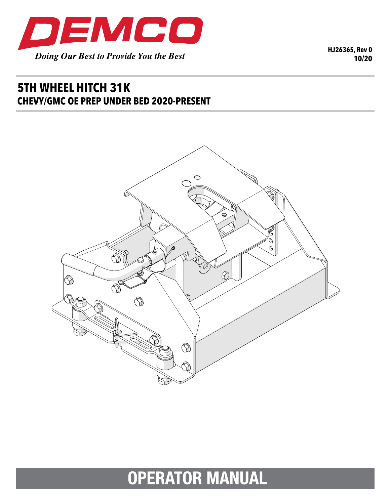

**HJ26365, Rev 0 10/20**

## **5TH WHEEL HITCH 31K CHEVY/GMC OE PREP UNDER BED 2020-PRESENT**



## **OPERATOR MANUAL**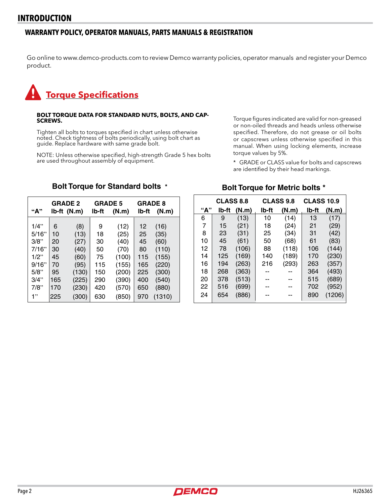#### **WARRANTY POLICY, OPERATOR MANUALS, PARTS MANUALS & REGISTRATION**

Go online to www.demco-products.com to review Demco warranty policies, operator manuals and register your Demco product.

# **Torque Specifications**

## **BOLT TORQUE DATA FOR STANDARD NUTS, BOLTS, AND CAP- SCREWS.**

Tighten all bolts to torques specified in chart unless otherwise noted. Check tightness of bolts periodically, using bolt chart as guide. Replace hardware with same grade bolt.

NOTE: Unless otherwise specified, high-strength Grade 5 hex bolts are used throughout assembly of equipment.

Torque figures indicated are valid for non-greased or non-oiled threads and heads unless otherwise specified. Therefore, do not grease or oil bolts or capscrews unless otherwise specified in this manual. When using locking elements, increase torque values by 5%.

\* GRADE or CLASS value for bolts and capscrews are identified by their head markings.

# **Bolt Torque for Standard bolts \***

|         | <b>GRADE 2</b> |             | <b>GRADE 5</b> |       | <b>GRADE 8</b> |        |  |
|---------|----------------|-------------|----------------|-------|----------------|--------|--|
| "А"     |                | Ib-ft (N.m) | lb-ft          | (N.m) | lb-ft          | (N.m)  |  |
| $1/4$ " | 6              | (8)         | 9              | (12)  | 12             | (16)   |  |
| 5/16"   | 10             | (13)        | 18             | (25)  | 25             | (35)   |  |
| 3/8"    | 20             | (27)        | 30             | (40)  | 45             | (60)   |  |
| 7/16"   | 30             | (40)        | 50             | (70)  | 80             | (110)  |  |
| $1/2$ " | 45             | (60)        | 75             | (100) | 115            | (155)  |  |
| 9/16"   | 70             | (95)        | 115            | (155) | 165            | (220)  |  |
| 5/8"    | 95             | (130)       | 150            | (200) | 225            | (300)  |  |
| 3/4"    | 165            | (225)       | 290            | (390) | 400            | (540)  |  |
| 7/8"    | 170            | (230)       | 420            | (570) | 650            | (880)  |  |
| 1"      | 225            | (300)       | 630            | (850) | 970            | (1310) |  |

### **Bolt Torque for Metric bolts \***

|     | <b>CLASS 8.8</b> |       | <b>CLASS 9.8</b> |       | <b>CLASS 10.9</b> |        |
|-----|------------------|-------|------------------|-------|-------------------|--------|
| "А" | lb-ft            | (N.m) | lb-ft            | (N.m) | lb-ft             | (N.m)  |
| 6   | 9                | (13)  | 10               | (14)  | 13                | (17)   |
| 7   | 15               | (21)  | 18               | (24)  | 21                | (29)   |
| 8   | 23               | (31)  | 25               | (34)  | 31                | (42)   |
| 10  | 45               | (61)  | 50               | (68)  | 61                | (83)   |
| 12  | 78               | (106) | 88               | (118) | 106               | (144)  |
| 14  | 125              | (169) | 140              | (189) | 170               | (230)  |
| 16  | 194              | (263) | 216              | (293) | 263               | (357)  |
| 18  | 268              | (363) |                  |       | 364               | (493)  |
| 20  | 378              | (513) |                  |       | 515               | (689)  |
| 22  | 516              | (699) |                  |       | 702               | (952)  |
| 24  | 654              | (886) |                  |       | 890               | (1206) |

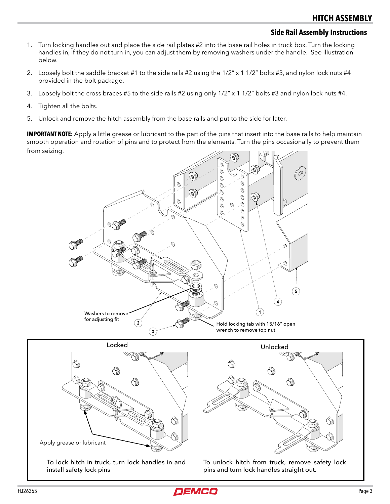#### **Side Rail Assembly Instructions**

- 1. Turn locking handles out and place the side rail plates #2 into the base rail holes in truck box. Turn the locking handles in, if they do not turn in, you can adjust them by removing washers under the handle. See illustration below.
- 2. Loosely bolt the saddle bracket #1 to the side rails #2 using the 1/2" x 1 1/2" bolts #3, and nylon lock nuts #4 provided in the bolt package.
- 3. Loosely bolt the cross braces #5 to the side rails #2 using only 1/2" x 1 1/2" bolts #3 and nylon lock nuts #4.
- 4. Tighten all the bolts.
- 5. Unlock and remove the hitch assembly from the base rails and put to the side for later.

**IMPORTANT NOTE:** Apply a little grease or lubricant to the part of the pins that insert into the base rails to help maintain smooth operation and rotation of pins and to protect from the elements. Turn the pins occasionally to prevent them from seizing.